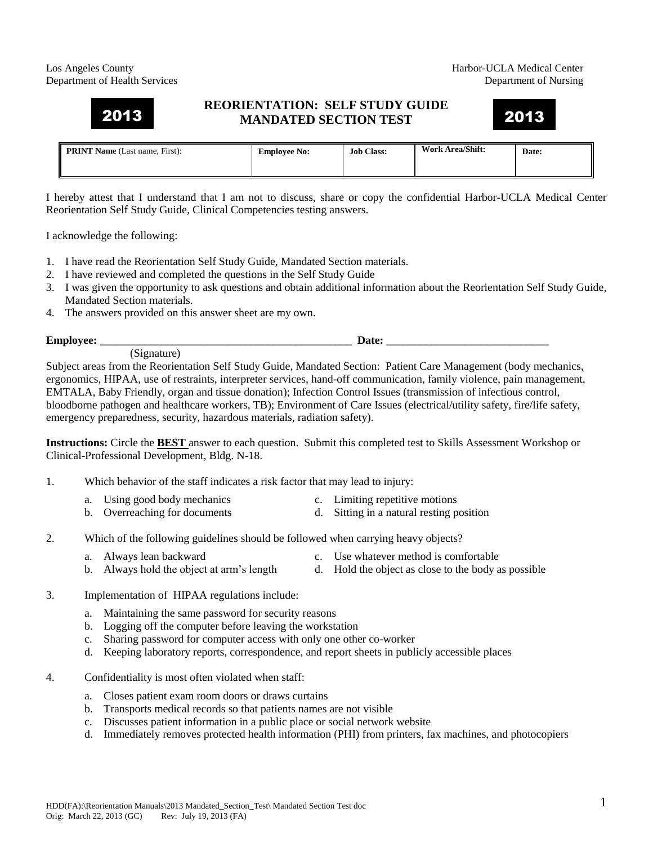## Los Angeles County **Harbor-UCLA Medical Center** Department of Health Services Department of Nursing

## **REORIENTATION: SELF STUDY GUIDE MANDATED SECTION TEST**  2013 2013

## **PRINT Name** (Last name, First): **Employee No: Job Class: Work Area/Shift: Date:**

I hereby attest that I understand that I am not to discuss, share or copy the confidential Harbor-UCLA Medical Center Reorientation Self Study Guide, Clinical Competencies testing answers.

I acknowledge the following:

- 1. I have read the Reorientation Self Study Guide, Mandated Section materials.
- 2. I have reviewed and completed the questions in the Self Study Guide
- 3. I was given the opportunity to ask questions and obtain additional information about the Reorientation Self Study Guide, Mandated Section materials.
- 4. The answers provided on this answer sheet are my own.

**Employee:** \_\_\_\_\_\_\_\_\_\_\_\_\_\_\_\_\_\_\_\_\_\_\_\_\_\_\_\_\_\_\_\_\_\_\_\_\_\_\_\_\_\_\_\_\_ **Date:** \_\_\_\_\_\_\_\_\_\_\_\_\_\_\_\_\_\_\_\_\_\_\_\_\_\_\_\_\_

(Signature)

Subject areas from the Reorientation Self Study Guide, Mandated Section: Patient Care Management (body mechanics, ergonomics, HIPAA, use of restraints, interpreter services, hand-off communication, family violence, pain management, EMTALA, Baby Friendly, organ and tissue donation); Infection Control Issues (transmission of infectious control, bloodborne pathogen and healthcare workers, TB); Environment of Care Issues (electrical/utility safety, fire/life safety, emergency preparedness, security, hazardous materials, radiation safety).

**Instructions:** Circle the **BEST** answer to each question. Submit this completed test to Skills Assessment Workshop or Clinical-Professional Development, Bldg. N-18.

- 1. Which behavior of the staff indicates a risk factor that may lead to injury:
	- a. Using good body mechanics c. Limiting repetitive motions
	- b. Overreaching for documents d. Sitting in a natural resting position
- 2. Which of the following guidelines should be followed when carrying heavy objects?
	- a. Always lean backward c. Use whatever method is comfortable
	- b. Always hold the object at arm's length d. Hold the object as close to the body as possible
- 3. Implementation of HIPAA regulations include:
	- a. Maintaining the same password for security reasons
	- b. Logging off the computer before leaving the workstation
	- c. Sharing password for computer access with only one other co-worker
	- d. Keeping laboratory reports, correspondence, and report sheets in publicly accessible places
- 4. Confidentiality is most often violated when staff:
	- a. Closes patient exam room doors or draws curtains
	- b. Transports medical records so that patients names are not visible
	- c. Discusses patient information in a public place or social network website
	- d. Immediately removes protected health information (PHI) from printers, fax machines, and photocopiers

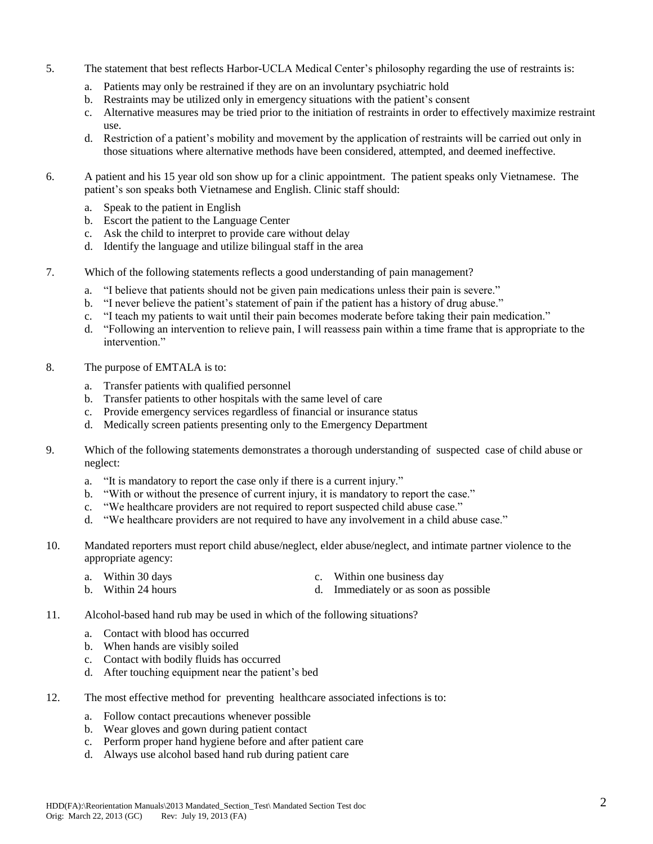- 5. The statement that best reflects Harbor-UCLA Medical Center's philosophy regarding the use of restraints is:
	- a. Patients may only be restrained if they are on an involuntary psychiatric hold
	- b. Restraints may be utilized only in emergency situations with the patient's consent
	- c. Alternative measures may be tried prior to the initiation of restraints in order to effectively maximize restraint use.
	- d. Restriction of a patient's mobility and movement by the application of restraints will be carried out only in those situations where alternative methods have been considered, attempted, and deemed ineffective.
- 6. A patient and his 15 year old son show up for a clinic appointment. The patient speaks only Vietnamese. The patient's son speaks both Vietnamese and English. Clinic staff should:
	- a. Speak to the patient in English
	- b. Escort the patient to the Language Center
	- c. Ask the child to interpret to provide care without delay
	- d. Identify the language and utilize bilingual staff in the area
- 7. Which of the following statements reflects a good understanding of pain management?
	- a. "I believe that patients should not be given pain medications unless their pain is severe."
	- b. "I never believe the patient's statement of pain if the patient has a history of drug abuse."
	- c. "I teach my patients to wait until their pain becomes moderate before taking their pain medication."
	- d. "Following an intervention to relieve pain, I will reassess pain within a time frame that is appropriate to the intervention<sup>"</sup>
- 8. The purpose of EMTALA is to:
	- a. Transfer patients with qualified personnel
	- b. Transfer patients to other hospitals with the same level of care
	- c. Provide emergency services regardless of financial or insurance status
	- d. Medically screen patients presenting only to the Emergency Department
- 9. Which of the following statements demonstrates a thorough understanding of suspected case of child abuse or neglect:
	- a. "It is mandatory to report the case only if there is a current injury."
	- b. "With or without the presence of current injury, it is mandatory to report the case."
	- c. "We healthcare providers are not required to report suspected child abuse case."
	- d. "We healthcare providers are not required to have any involvement in a child abuse case."
- 10. Mandated reporters must report child abuse/neglect, elder abuse/neglect, and intimate partner violence to the appropriate agency:
	- a. Within 30 days a c. Within one business day b. Within 24 hours d. Immediately or as soon as possible
- 11. Alcohol-based hand rub may be used in which of the following situations?
	- a. Contact with blood has occurred
	- b. When hands are visibly soiled
	- c. Contact with bodily fluids has occurred
	- d. After touching equipment near the patient's bed
- 12. The most effective method for preventing healthcare associated infections is to:
	- a. Follow contact precautions whenever possible
	- b. Wear gloves and gown during patient contact
	- c. Perform proper hand hygiene before and after patient care
	- d. Always use alcohol based hand rub during patient care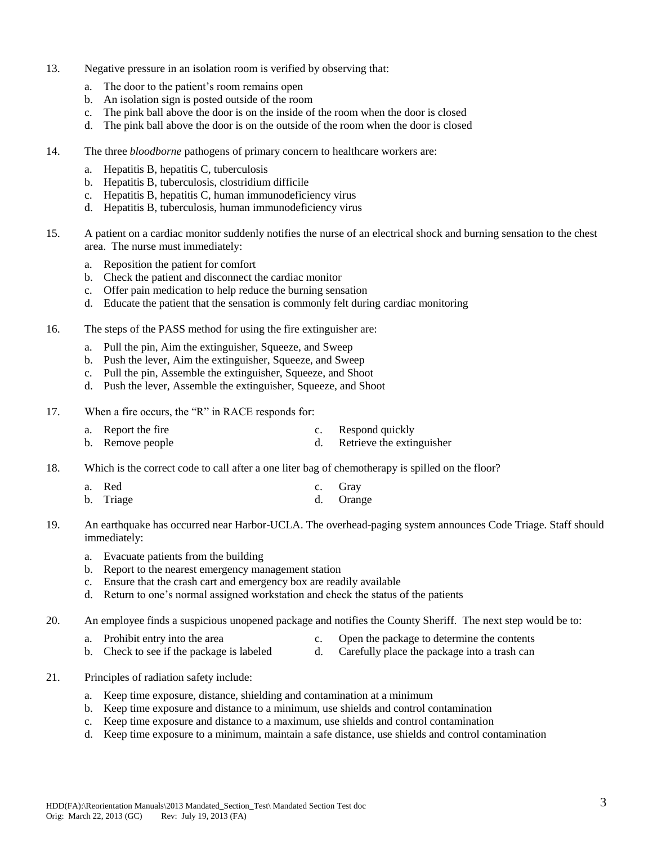- 13. Negative pressure in an isolation room is verified by observing that:
	- a. The door to the patient's room remains open
	- b. An isolation sign is posted outside of the room
	- c. The pink ball above the door is on the inside of the room when the door is closed
	- d. The pink ball above the door is on the outside of the room when the door is closed
- 14. The three *bloodborne* pathogens of primary concern to healthcare workers are:
	- a. Hepatitis B, hepatitis C, tuberculosis
	- b. Hepatitis B, tuberculosis, clostridium difficile
	- c. Hepatitis B, hepatitis C, human immunodeficiency virus
	- d. Hepatitis B, tuberculosis, human immunodeficiency virus
- 15. A patient on a cardiac monitor suddenly notifies the nurse of an electrical shock and burning sensation to the chest area. The nurse must immediately:
	- a. Reposition the patient for comfort
	- b. Check the patient and disconnect the cardiac monitor
	- c. Offer pain medication to help reduce the burning sensation
	- d. Educate the patient that the sensation is commonly felt during cardiac monitoring
- 16. The steps of the PASS method for using the fire extinguisher are:
	- a. Pull the pin, Aim the extinguisher, Squeeze, and Sweep
	- b. Push the lever, Aim the extinguisher, Squeeze, and Sweep
	- c. Pull the pin, Assemble the extinguisher, Squeeze, and Shoot
	- d. Push the lever, Assemble the extinguisher, Squeeze, and Shoot
- 17. When a fire occurs, the "R" in RACE responds for:
	- a. Report the fire c. Respond quickly b. Remove people d. Retrieve the extinguisher
- 18. Which is the correct code to call after a one liter bag of chemotherapy is spilled on the floor?
	- a. Red c. Gray
	- b. Triage d. Orange
- 19. An earthquake has occurred near Harbor-UCLA. The overhead-paging system announces Code Triage. Staff should immediately:
	- a. Evacuate patients from the building
	- b. Report to the nearest emergency management station
	- c. Ensure that the crash cart and emergency box are readily available
	- d. Return to one's normal assigned workstation and check the status of the patients
- 20. An employee finds a suspicious unopened package and notifies the County Sheriff. The next step would be to:
	- a. Prohibit entry into the area c. Open the package to determine the contents
	- b. Check to see if the package is labeled d. Carefully place the package into a trash can
- 21. Principles of radiation safety include:
	- a. Keep time exposure, distance, shielding and contamination at a minimum
	- b. Keep time exposure and distance to a minimum, use shields and control contamination
	- c. Keep time exposure and distance to a maximum, use shields and control contamination
	- d. Keep time exposure to a minimum, maintain a safe distance, use shields and control contamination